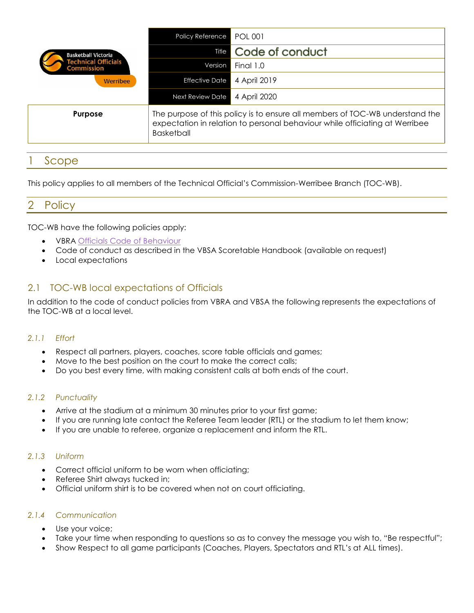| <b>Basketball Victoria</b><br><b>Fechnical Officials</b><br><b>Commission</b><br><b>Werribee</b> | Policy Reference                                                                                                                                                                 | POL 001               |
|--------------------------------------------------------------------------------------------------|----------------------------------------------------------------------------------------------------------------------------------------------------------------------------------|-----------------------|
|                                                                                                  |                                                                                                                                                                                  | Title Code of conduct |
|                                                                                                  | Version                                                                                                                                                                          | Final 1.0             |
|                                                                                                  | <b>Effective Date</b>                                                                                                                                                            | 4 April 2019          |
|                                                                                                  | Next Review Date                                                                                                                                                                 | 4 April 2020          |
| <b>Purpose</b>                                                                                   | The purpose of this policy is to ensure all members of TOC-WB understand the<br>expectation in relation to personal behaviour while officiating at Werribee<br><b>Basketball</b> |                       |

# **Scope**

This policy applies to all members of the Technical Official's Commission-Werribee Branch (TOC-WB).

## 2 Policy

TOC-WB have the following policies apply:

- VBRA [Officials Code of Behaviour](http://vbra.basketball.net.au/wp-content/uploads/sites/4/2016/04/VBRADOC-011-001.-Officials-Code-of-Behaviour.pdf)
- Code of conduct as described in the VBSA Scoretable Handbook (available on request)
- Local expectations

## 2.1 TOC-WB local expectations of Officials

In addition to the code of conduct policies from VBRA and VBSA the following represents the expectations of the TOC-WB at a local level.

#### *2.1.1 Effort*

- Respect all partners, players, coaches, score table officials and games;
- Move to the best position on the court to make the correct calls;
- Do you best every time, with making consistent calls at both ends of the court.

#### *2.1.2 Punctuality*

- Arrive at the stadium at a minimum 30 minutes prior to your first game;
- If you are running late contact the Referee Team leader (RTL) or the stadium to let them know;
- If you are unable to referee, organize a replacement and inform the RTL.

#### *2.1.3 Uniform*

- Correct official uniform to be worn when officiating;
- Referee Shirt always tucked in;
- Official uniform shirt is to be covered when not on court officiating.

#### *2.1.4 Communication*

- Use your voice;
- Take your time when responding to questions so as to convey the message you wish to, "Be respectful";
- Show Respect to all game participants (Coaches, Players, Spectators and RTL's at ALL times).